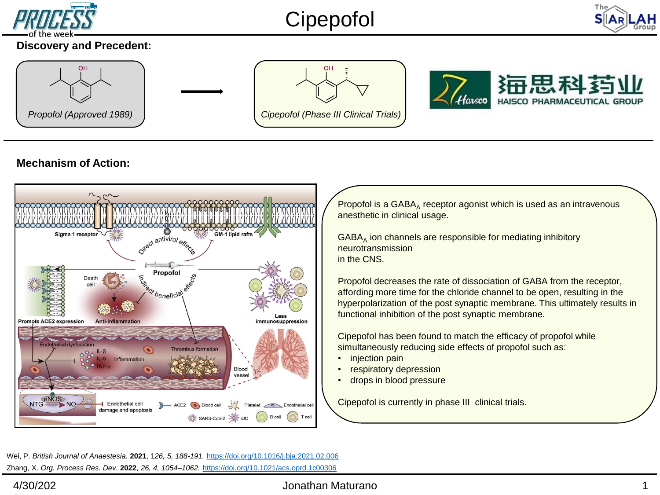

# Cipepofol



### **Discovery and Precedent:**



## **Mechanism of Action:**



Propofol is a  $GABA_A$  receptor agonist which is used as an intravenous anesthetic in clinical usage.

GABA<sub>A</sub> ion channels are responsible for mediating inhibitory neurotransmission in the CNS.

Propofol decreases the rate of dissociation of GABA from the receptor, affording more time for the chloride channel to be open, resulting in the hyperpolarization of the post synaptic membrane. This ultimately results in functional inhibition of the post synaptic membrane.

Cipepofol has been found to match the efficacy of propofol while simultaneously reducing side effects of propofol such as:

- injection pain
- respiratory depression
- drops in blood pressure

Cipepofol is currently in phase III clinical trials.

Zhang, X. *Org. Process Res. Dev.* **2022**, *26, 4, 1054–1062.* <https://doi.org/10.1021/acs.oprd.1c00306> Wei, P. *British Journal of Anaestesia.* **2021**, 1*26, 5, 188-191.* <https://doi.org/10.1016/j.bja.2021.02.006>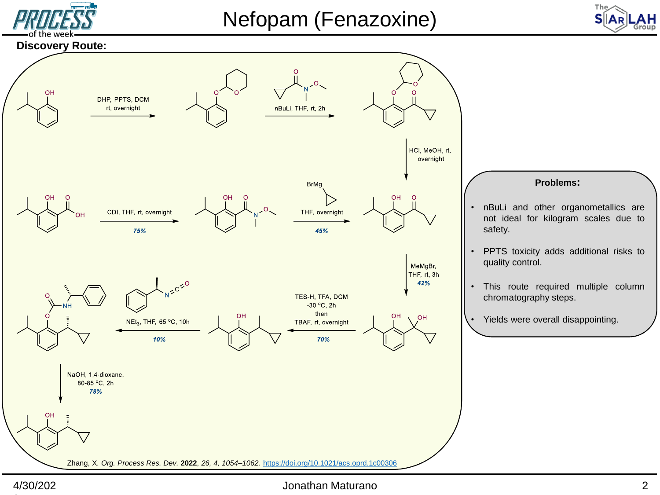

## Nefopam (Fenazoxine)



#### **Discovery Route:**



#### 4/30/202

#### Jonathan Maturano 2